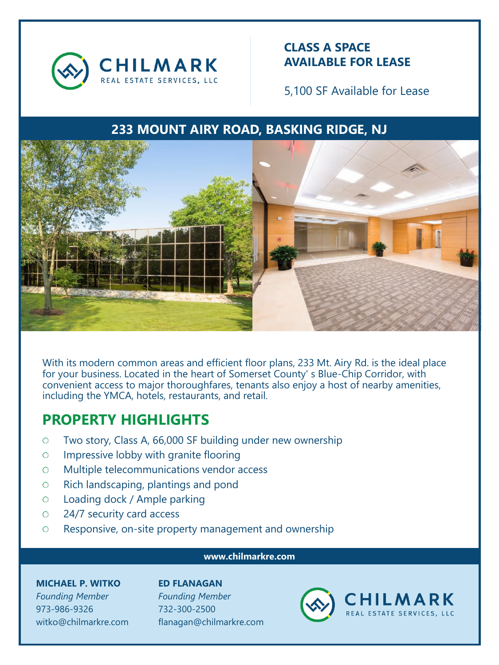

### **CLASS A SPACE AVAILABLE FOR LEASE**

5,100 SF Available for Lease

## **233 MOUNT AIRY ROAD, BASKING RIDGE, NJ**



With its modern common areas and efficient floor plans, 233 Mt. Airy Rd. is the ideal place for your business. Located in the heart of Somerset County' s Blue-Chip Corridor, with convenient access to major thoroughfares, tenants also enjoy a host of nearby amenities, including the YMCA, hotels, restaurants, and retail.

# **PROPERTY HIGHLIGHTS**

- Two story, Class A, 66,000 SF building under new ownership  $\circ$
- Impressive lobby with granite flooring  $\circ$
- Multiple telecommunications vendor access  $\circ$
- Rich landscaping, plantings and pond  $\circ$
- Loading dock / Ample parking  $\circ$
- 24/7 security card access  $\circ$
- Responsive, on-site property management and ownership  $\circ$

#### **www.chilmarkre.com**

#### **MICHAEL P. WITKO**

*Founding Member* 973-986-9326 witko@chilmarkre.com **ED FLANAGAN** *Founding Member* 732-300-2500 flanagan@chilmarkre.com